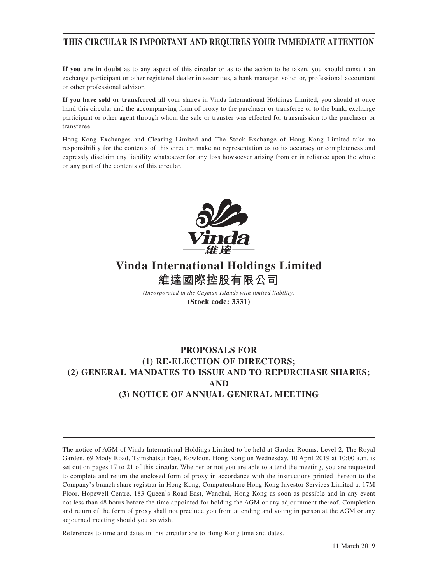## **THIS CIRCULAR IS IMPORTANT AND REQUIRES YOUR IMMEDIATE ATTENTION**

**If you are in doubt** as to any aspect of this circular or as to the action to be taken, you should consult an exchange participant or other registered dealer in securities, a bank manager, solicitor, professional accountant or other professional advisor.

**If you have sold or transferred** all your shares in Vinda International Holdings Limited, you should at once hand this circular and the accompanying form of proxy to the purchaser or transferee or to the bank, exchange participant or other agent through whom the sale or transfer was effected for transmission to the purchaser or transferee.

Hong Kong Exchanges and Clearing Limited and The Stock Exchange of Hong Kong Limited take no responsibility for the contents of this circular, make no representation as to its accuracy or completeness and expressly disclaim any liability whatsoever for any loss howsoever arising from or in reliance upon the whole or any part of the contents of this circular.



# **Vinda International Holdings Limited 維達國際控股有限公司**

*(Incorporated in the Cayman Islands with limited liability)*

**(Stock code: 3331)**

## **PROPOSALS FOR (1) RE-ELECTION OF DIRECTORS; (2) GENERAL MANDATES TO ISSUE AND TO REPURCHASE SHARES; AND (3) NOTICE OF ANNUAL GENERAL MEETING**

References to time and dates in this circular are to Hong Kong time and dates.

The notice of AGM of Vinda International Holdings Limited to be held at Garden Rooms, Level 2, The Royal Garden, 69 Mody Road, Tsimshatsui East, Kowloon, Hong Kong on Wednesday, 10 April 2019 at 10:00 a.m. is set out on pages 17 to 21 of this circular. Whether or not you are able to attend the meeting, you are requested to complete and return the enclosed form of proxy in accordance with the instructions printed thereon to the Company's branch share registrar in Hong Kong, Computershare Hong Kong Investor Services Limited at 17M Floor, Hopewell Centre, 183 Queen's Road East, Wanchai, Hong Kong as soon as possible and in any event not less than 48 hours before the time appointed for holding the AGM or any adjournment thereof. Completion and return of the form of proxy shall not preclude you from attending and voting in person at the AGM or any adjourned meeting should you so wish.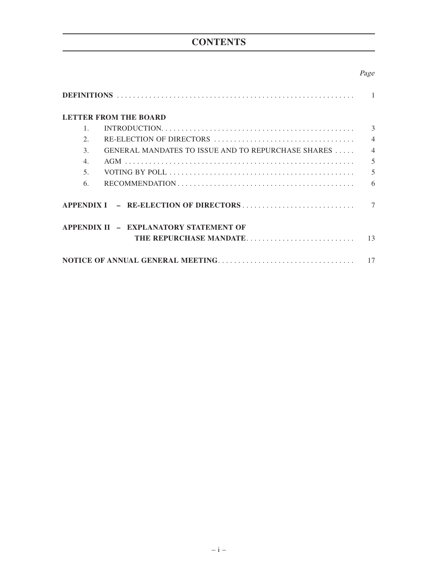# **CONTENTS**

## Page

| <b>LETTER FROM THE BOARD</b>                                                                                      |                          |
|-------------------------------------------------------------------------------------------------------------------|--------------------------|
|                                                                                                                   | 3                        |
| 2.                                                                                                                | $\overline{4}$           |
| GENERAL MANDATES TO ISSUE AND TO REPURCHASE SHARES<br>3.                                                          | $\overline{4}$           |
| $\overline{4}$ .                                                                                                  | 5                        |
| 5 <sub>1</sub>                                                                                                    | $\overline{\mathcal{L}}$ |
| $RECOMMENDATION \ldots \ldots \ldots \ldots \ldots \ldots \ldots \ldots \ldots \ldots \ldots \ldots \ldots$<br>6. | 6                        |
|                                                                                                                   |                          |
| APPENDIX II - EXPLANATORY STATEMENT OF<br>THE REPURCHASE MANDATE                                                  | 13                       |
|                                                                                                                   |                          |
|                                                                                                                   | 17                       |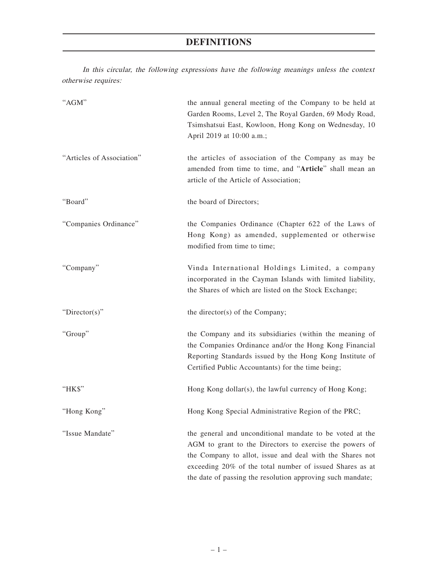## **DEFINITIONS**

In this circular, the following expressions have the following meanings unless the context otherwise requires:

| "AGM"                     | the annual general meeting of the Company to be held at<br>Garden Rooms, Level 2, The Royal Garden, 69 Mody Road,<br>Tsimshatsui East, Kowloon, Hong Kong on Wednesday, 10<br>April 2019 at 10:00 a.m.;                                                                                                   |
|---------------------------|-----------------------------------------------------------------------------------------------------------------------------------------------------------------------------------------------------------------------------------------------------------------------------------------------------------|
| "Articles of Association" | the articles of association of the Company as may be<br>amended from time to time, and "Article" shall mean an<br>article of the Article of Association;                                                                                                                                                  |
| "Board"                   | the board of Directors;                                                                                                                                                                                                                                                                                   |
| "Companies Ordinance"     | the Companies Ordinance (Chapter 622 of the Laws of<br>Hong Kong) as amended, supplemented or otherwise<br>modified from time to time;                                                                                                                                                                    |
| "Company"                 | Vinda International Holdings Limited, a company<br>incorporated in the Cayman Islands with limited liability,<br>the Shares of which are listed on the Stock Exchange;                                                                                                                                    |
| "Director(s)"             | the director(s) of the Company;                                                                                                                                                                                                                                                                           |
| "Group"                   | the Company and its subsidiaries (within the meaning of<br>the Companies Ordinance and/or the Hong Kong Financial<br>Reporting Standards issued by the Hong Kong Institute of<br>Certified Public Accountants) for the time being;                                                                        |
| "HK\$"                    | Hong Kong dollar(s), the lawful currency of Hong Kong;                                                                                                                                                                                                                                                    |
| "Hong Kong"               | Hong Kong Special Administrative Region of the PRC;                                                                                                                                                                                                                                                       |
| "Issue Mandate"           | the general and unconditional mandate to be voted at the<br>AGM to grant to the Directors to exercise the powers of<br>the Company to allot, issue and deal with the Shares not<br>exceeding 20% of the total number of issued Shares as at<br>the date of passing the resolution approving such mandate; |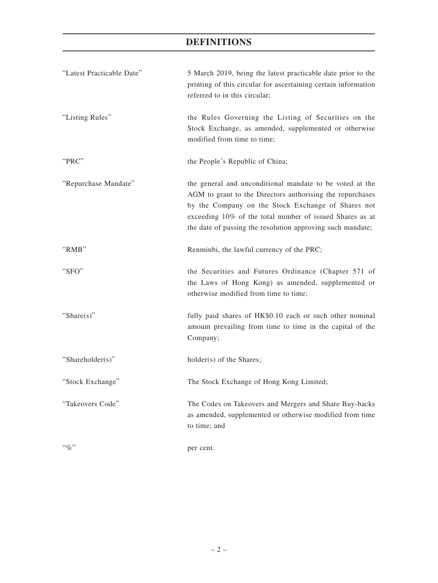## **DEFINITIONS**

| "Latest Practicable Date" | 5 March 2019, being the latest practicable date prior to the<br>printing of this circular for ascertaining certain information<br>referred to in this circular;                                                                                                                                       |
|---------------------------|-------------------------------------------------------------------------------------------------------------------------------------------------------------------------------------------------------------------------------------------------------------------------------------------------------|
| "Listing Rules"           | the Rules Governing the Listing of Securities on the<br>Stock Exchange, as amended, supplemented or otherwise<br>modified from time to time;                                                                                                                                                          |
| "PRC"                     | the People's Republic of China;                                                                                                                                                                                                                                                                       |
| "Repurchase Mandate"      | the general and unconditional mandate to be voted at the<br>AGM to grant to the Directors authorising the repurchases<br>by the Company on the Stock Exchange of Shares not<br>exceeding 10% of the total number of issued Shares as at<br>the date of passing the resolution approving such mandate; |
| "RMB"                     | Renminbi, the lawful currency of the PRC;                                                                                                                                                                                                                                                             |
| "SFO"                     | the Securities and Futures Ordinance (Chapter 571 of<br>the Laws of Hong Kong) as amended, supplemented or<br>otherwise modified from time to time;                                                                                                                                                   |
| "Share $(s)$ "            | fully paid shares of HK\$0.10 each or such other nominal<br>amount prevailing from time to time in the capital of the<br>Company;                                                                                                                                                                     |
| "Shareholder(s)"          | holder(s) of the Shares;                                                                                                                                                                                                                                                                              |
| "Stock Exchange"          | The Stock Exchange of Hong Kong Limited;                                                                                                                                                                                                                                                              |
| "Takeovers Code"          | The Codes on Takeovers and Mergers and Share Buy-backs<br>as amended, supplemented or otherwise modified from time<br>to time; and                                                                                                                                                                    |
| $``q_0"$                  | per cent.                                                                                                                                                                                                                                                                                             |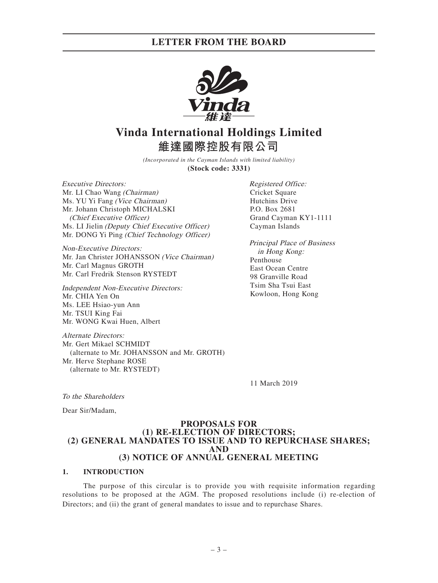## **LETTER FROM THE BOARD**



# **Vinda International Holdings Limited 維達國際控股有限公司**

*(Incorporated in the Cayman Islands with limited liability)* **(Stock code: 3331)**

Executive Directors: Mr. LI Chao Wang (Chairman) Ms. YU Yi Fang (Vice Chairman) Mr. Johann Christoph MICHALSKI (Chief Executive Officer) Ms. LI Jielin (Deputy Chief Executive Officer) Mr. DONG Yi Ping (Chief Technology Officer)

Non-Executive Directors: Mr. Jan Christer JOHANSSON (Vice Chairman) Mr. Carl Magnus GROTH Mr. Carl Fredrik Stenson RYSTEDT

Independent Non-Executive Directors: Mr. CHIA Yen On Ms. LEE Hsiao-yun Ann Mr. TSUI King Fai Mr. WONG Kwai Huen, Albert

Alternate Directors: Mr. Gert Mikael SCHMIDT (alternate to Mr. JOHANSSON and Mr. GROTH) Mr. Herve Stephane ROSE (alternate to Mr. RYSTEDT)

Registered Office: Cricket Square Hutchins Drive P.O. Box 2681 Grand Cayman KY1-1111 Cayman Islands

Principal Place of Business in Hong Kong: Penthouse East Ocean Centre 98 Granville Road Tsim Sha Tsui East Kowloon, Hong Kong

11 March 2019

To the Shareholders

Dear Sir/Madam,

### **PROPOSALS FOR (1) RE-ELECTION OF DIRECTORS; (2) GENERAL MANDATES TO ISSUE AND TO REPURCHASE SHARES; AND (3) NOTICE OF ANNUAL GENERAL MEETING**

### **1. INTRODUCTION**

The purpose of this circular is to provide you with requisite information regarding resolutions to be proposed at the AGM. The proposed resolutions include (i) re-election of Directors; and (ii) the grant of general mandates to issue and to repurchase Shares.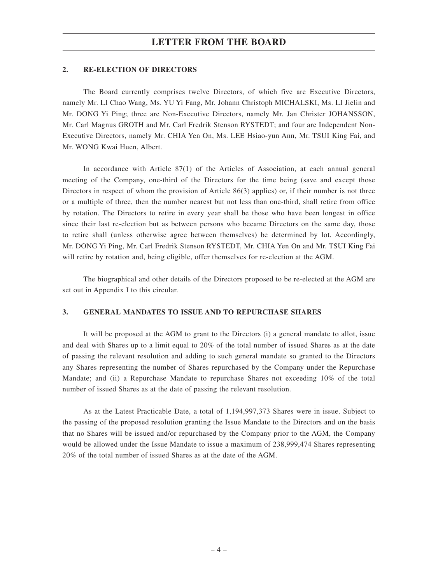## **LETTER FROM THE BOARD**

### **2. RE-ELECTION OF DIRECTORS**

The Board currently comprises twelve Directors, of which five are Executive Directors, namely Mr. LI Chao Wang, Ms. YU Yi Fang, Mr. Johann Christoph MICHALSKI, Ms. LI Jielin and Mr. DONG Yi Ping; three are Non-Executive Directors, namely Mr. Jan Christer JOHANSSON, Mr. Carl Magnus GROTH and Mr. Carl Fredrik Stenson RYSTEDT; and four are Independent Non-Executive Directors, namely Mr. CHIA Yen On, Ms. LEE Hsiao-yun Ann, Mr. TSUI King Fai, and Mr. WONG Kwai Huen, Albert.

In accordance with Article 87(1) of the Articles of Association, at each annual general meeting of the Company, one-third of the Directors for the time being (save and except those Directors in respect of whom the provision of Article 86(3) applies) or, if their number is not three or a multiple of three, then the number nearest but not less than one-third, shall retire from office by rotation. The Directors to retire in every year shall be those who have been longest in office since their last re-election but as between persons who became Directors on the same day, those to retire shall (unless otherwise agree between themselves) be determined by lot. Accordingly, Mr. DONG Yi Ping, Mr. Carl Fredrik Stenson RYSTEDT, Mr. CHIA Yen On and Mr. TSUI King Fai will retire by rotation and, being eligible, offer themselves for re-election at the AGM.

The biographical and other details of the Directors proposed to be re-elected at the AGM are set out in Appendix I to this circular.

### **3. GENERAL MANDATES TO ISSUE AND TO REPURCHASE SHARES**

It will be proposed at the AGM to grant to the Directors (i) a general mandate to allot, issue and deal with Shares up to a limit equal to 20% of the total number of issued Shares as at the date of passing the relevant resolution and adding to such general mandate so granted to the Directors any Shares representing the number of Shares repurchased by the Company under the Repurchase Mandate; and (ii) a Repurchase Mandate to repurchase Shares not exceeding 10% of the total number of issued Shares as at the date of passing the relevant resolution.

As at the Latest Practicable Date, a total of 1,194,997,373 Shares were in issue. Subject to the passing of the proposed resolution granting the Issue Mandate to the Directors and on the basis that no Shares will be issued and/or repurchased by the Company prior to the AGM, the Company would be allowed under the Issue Mandate to issue a maximum of 238,999,474 Shares representing 20% of the total number of issued Shares as at the date of the AGM.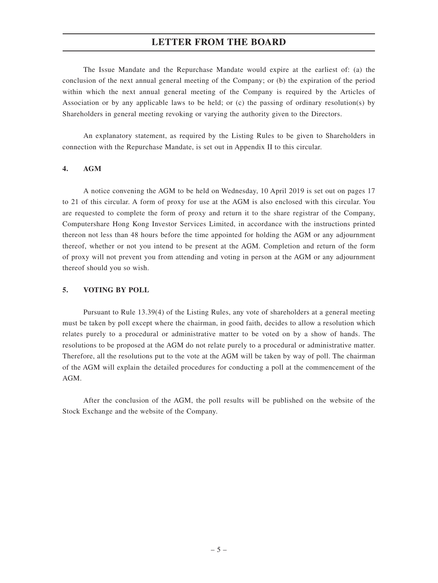## **LETTER FROM THE BOARD**

The Issue Mandate and the Repurchase Mandate would expire at the earliest of: (a) the conclusion of the next annual general meeting of the Company; or (b) the expiration of the period within which the next annual general meeting of the Company is required by the Articles of Association or by any applicable laws to be held; or (c) the passing of ordinary resolution(s) by Shareholders in general meeting revoking or varying the authority given to the Directors.

An explanatory statement, as required by the Listing Rules to be given to Shareholders in connection with the Repurchase Mandate, is set out in Appendix II to this circular.

### **4. AGM**

A notice convening the AGM to be held on Wednesday, 10 April 2019 is set out on pages 17 to 21 of this circular. A form of proxy for use at the AGM is also enclosed with this circular. You are requested to complete the form of proxy and return it to the share registrar of the Company, Computershare Hong Kong Investor Services Limited, in accordance with the instructions printed thereon not less than 48 hours before the time appointed for holding the AGM or any adjournment thereof, whether or not you intend to be present at the AGM. Completion and return of the form of proxy will not prevent you from attending and voting in person at the AGM or any adjournment thereof should you so wish.

### **5. VOTING BY POLL**

Pursuant to Rule 13.39(4) of the Listing Rules, any vote of shareholders at a general meeting must be taken by poll except where the chairman, in good faith, decides to allow a resolution which relates purely to a procedural or administrative matter to be voted on by a show of hands. The resolutions to be proposed at the AGM do not relate purely to a procedural or administrative matter. Therefore, all the resolutions put to the vote at the AGM will be taken by way of poll. The chairman of the AGM will explain the detailed procedures for conducting a poll at the commencement of the AGM.

After the conclusion of the AGM, the poll results will be published on the website of the Stock Exchange and the website of the Company.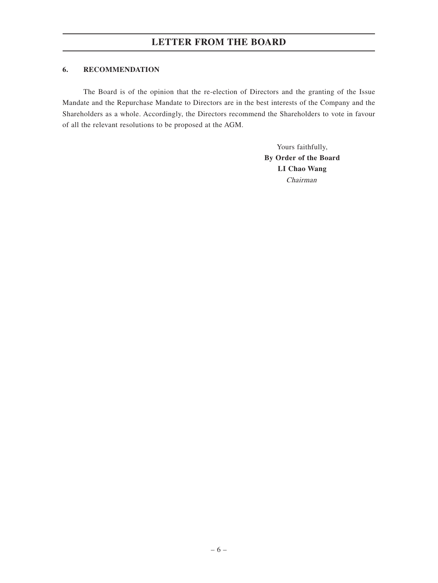## **6. RECOMMENDATION**

The Board is of the opinion that the re-election of Directors and the granting of the Issue Mandate and the Repurchase Mandate to Directors are in the best interests of the Company and the Shareholders as a whole. Accordingly, the Directors recommend the Shareholders to vote in favour of all the relevant resolutions to be proposed at the AGM.

> Yours faithfully, **By Order of the Board LI Chao Wang** Chairman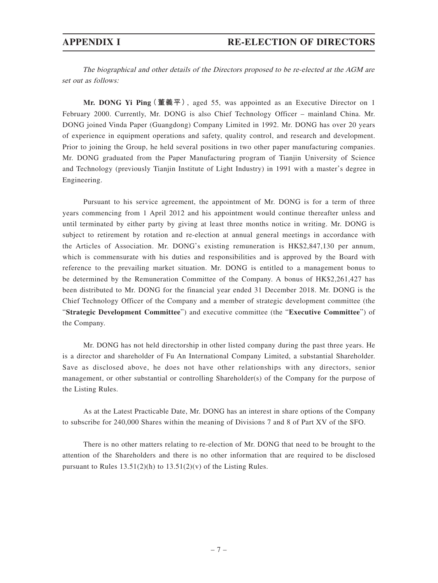The biographical and other details of the Directors proposed to be re-elected at the AGM are set out as follows:

**Mr. DONG Yi Ping(董義平)**, aged 55, was appointed as an Executive Director on 1 February 2000. Currently, Mr. DONG is also Chief Technology Officer – mainland China. Mr. DONG joined Vinda Paper (Guangdong) Company Limited in 1992. Mr. DONG has over 20 years of experience in equipment operations and safety, quality control, and research and development. Prior to joining the Group, he held several positions in two other paper manufacturing companies. Mr. DONG graduated from the Paper Manufacturing program of Tianjin University of Science and Technology (previously Tianjin Institute of Light Industry) in 1991 with a master's degree in Engineering.

Pursuant to his service agreement, the appointment of Mr. DONG is for a term of three years commencing from 1 April 2012 and his appointment would continue thereafter unless and until terminated by either party by giving at least three months notice in writing. Mr. DONG is subject to retirement by rotation and re-election at annual general meetings in accordance with the Articles of Association. Mr. DONG's existing remuneration is HK\$2,847,130 per annum, which is commensurate with his duties and responsibilities and is approved by the Board with reference to the prevailing market situation. Mr. DONG is entitled to a management bonus to be determined by the Remuneration Committee of the Company. A bonus of HK\$2,261,427 has been distributed to Mr. DONG for the financial year ended 31 December 2018. Mr. DONG is the Chief Technology Officer of the Company and a member of strategic development committee (the "**Strategic Development Committee**") and executive committee (the "**Executive Committee**") of the Company.

Mr. DONG has not held directorship in other listed company during the past three years. He is a director and shareholder of Fu An International Company Limited, a substantial Shareholder. Save as disclosed above, he does not have other relationships with any directors, senior management, or other substantial or controlling Shareholder(s) of the Company for the purpose of the Listing Rules.

As at the Latest Practicable Date, Mr. DONG has an interest in share options of the Company to subscribe for 240,000 Shares within the meaning of Divisions 7 and 8 of Part XV of the SFO.

There is no other matters relating to re-election of Mr. DONG that need to be brought to the attention of the Shareholders and there is no other information that are required to be disclosed pursuant to Rules  $13.51(2)(h)$  to  $13.51(2)(v)$  of the Listing Rules.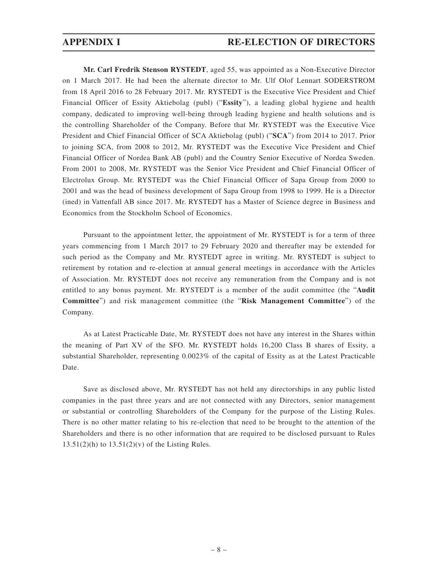**Mr. Carl Fredrik Stenson RYSTEDT**, aged 55, was appointed as a Non-Executive Director on 1 March 2017. He had been the alternate director to Mr. Ulf Olof Lennart SODERSTROM from 18 April 2016 to 28 February 2017. Mr. RYSTEDT is the Executive Vice President and Chief Financial Officer of Essity Aktiebolag (publ) ("**Essity**"), a leading global hygiene and health company, dedicated to improving well-being through leading hygiene and health solutions and is the controlling Shareholder of the Company. Before that Mr. RYSTEDT was the Executive Vice President and Chief Financial Officer of SCA Aktiebolag (publ) ("**SCA**") from 2014 to 2017. Prior to joining SCA, from 2008 to 2012, Mr. RYSTEDT was the Executive Vice President and Chief Financial Officer of Nordea Bank AB (publ) and the Country Senior Executive of Nordea Sweden. From 2001 to 2008, Mr. RYSTEDT was the Senior Vice President and Chief Financial Officer of Electrolux Group. Mr. RYSTEDT was the Chief Financial Officer of Sapa Group from 2000 to 2001 and was the head of business development of Sapa Group from 1998 to 1999. He is a Director (ined) in Vattenfall AB since 2017. Mr. RYSTEDT has a Master of Science degree in Business and Economics from the Stockholm School of Economics.

Pursuant to the appointment letter, the appointment of Mr. RYSTEDT is for a term of three years commencing from 1 March 2017 to 29 February 2020 and thereafter may be extended for such period as the Company and Mr. RYSTEDT agree in writing. Mr. RYSTEDT is subject to retirement by rotation and re-election at annual general meetings in accordance with the Articles of Association. Mr. RYSTEDT does not receive any remuneration from the Company and is not entitled to any bonus payment. Mr. RYSTEDT is a member of the audit committee (the "**Audit Committee**") and risk management committee (the "**Risk Management Committee**") of the Company.

As at Latest Practicable Date, Mr. RYSTEDT does not have any interest in the Shares within the meaning of Part XV of the SFO. Mr. RYSTEDT holds 16,200 Class B shares of Essity, a substantial Shareholder, representing 0.0023% of the capital of Essity as at the Latest Practicable Date.

Save as disclosed above, Mr. RYSTEDT has not held any directorships in any public listed companies in the past three years and are not connected with any Directors, senior management or substantial or controlling Shareholders of the Company for the purpose of the Listing Rules. There is no other matter relating to his re-election that need to be brought to the attention of the Shareholders and there is no other information that are required to be disclosed pursuant to Rules  $13.51(2)(h)$  to  $13.51(2)(v)$  of the Listing Rules.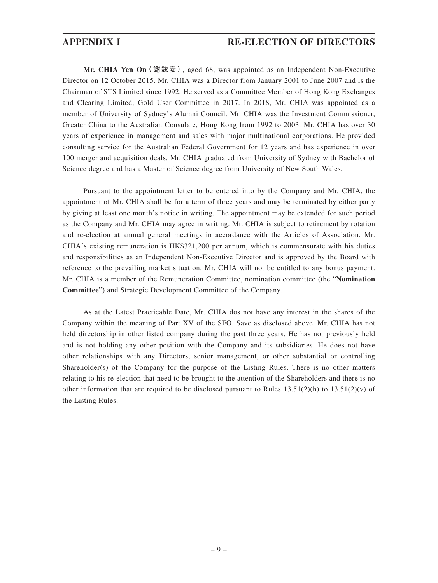**Mr. CHIA Yen On(謝鉉安)**, aged 68, was appointed as an Independent Non-Executive Director on 12 October 2015. Mr. CHIA was a Director from January 2001 to June 2007 and is the Chairman of STS Limited since 1992. He served as a Committee Member of Hong Kong Exchanges and Clearing Limited, Gold User Committee in 2017. In 2018, Mr. CHIA was appointed as a member of University of Sydney's Alumni Council. Mr. CHIA was the Investment Commissioner, Greater China to the Australian Consulate, Hong Kong from 1992 to 2003. Mr. CHIA has over 30 years of experience in management and sales with major multinational corporations. He provided consulting service for the Australian Federal Government for 12 years and has experience in over 100 merger and acquisition deals. Mr. CHIA graduated from University of Sydney with Bachelor of Science degree and has a Master of Science degree from University of New South Wales.

Pursuant to the appointment letter to be entered into by the Company and Mr. CHIA, the appointment of Mr. CHIA shall be for a term of three years and may be terminated by either party by giving at least one month's notice in writing. The appointment may be extended for such period as the Company and Mr. CHIA may agree in writing. Mr. CHIA is subject to retirement by rotation and re-election at annual general meetings in accordance with the Articles of Association. Mr. CHIA's existing remuneration is HK\$321,200 per annum, which is commensurate with his duties and responsibilities as an Independent Non-Executive Director and is approved by the Board with reference to the prevailing market situation. Mr. CHIA will not be entitled to any bonus payment. Mr. CHIA is a member of the Remuneration Committee, nomination committee (the "**Nomination Committee**") and Strategic Development Committee of the Company.

As at the Latest Practicable Date, Mr. CHIA dos not have any interest in the shares of the Company within the meaning of Part XV of the SFO. Save as disclosed above, Mr. CHIA has not held directorship in other listed company during the past three years. He has not previously held and is not holding any other position with the Company and its subsidiaries. He does not have other relationships with any Directors, senior management, or other substantial or controlling Shareholder(s) of the Company for the purpose of the Listing Rules. There is no other matters relating to his re-election that need to be brought to the attention of the Shareholders and there is no other information that are required to be disclosed pursuant to Rules  $13.51(2)(h)$  to  $13.51(2)(v)$  of the Listing Rules.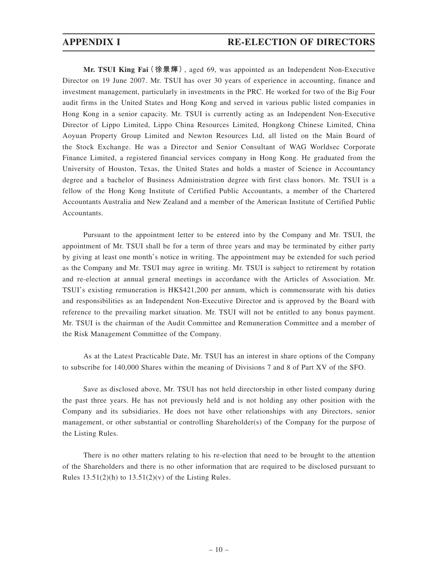**Mr. TSUI King Fai(徐景輝)**, aged 69, was appointed as an Independent Non-Executive Director on 19 June 2007. Mr. TSUI has over 30 years of experience in accounting, finance and investment management, particularly in investments in the PRC. He worked for two of the Big Four audit firms in the United States and Hong Kong and served in various public listed companies in Hong Kong in a senior capacity. Mr. TSUI is currently acting as an Independent Non-Executive Director of Lippo Limited, Lippo China Resources Limited, Hongkong Chinese Limited, China Aoyuan Property Group Limited and Newton Resources Ltd, all listed on the Main Board of the Stock Exchange. He was a Director and Senior Consultant of WAG Worldsec Corporate Finance Limited, a registered financial services company in Hong Kong. He graduated from the University of Houston, Texas, the United States and holds a master of Science in Accountancy degree and a bachelor of Business Administration degree with first class honors. Mr. TSUI is a fellow of the Hong Kong Institute of Certified Public Accountants, a member of the Chartered Accountants Australia and New Zealand and a member of the American Institute of Certified Public Accountants.

Pursuant to the appointment letter to be entered into by the Company and Mr. TSUI, the appointment of Mr. TSUI shall be for a term of three years and may be terminated by either party by giving at least one month's notice in writing. The appointment may be extended for such period as the Company and Mr. TSUI may agree in writing. Mr. TSUI is subject to retirement by rotation and re-election at annual general meetings in accordance with the Articles of Association. Mr. TSUI's existing remuneration is HK\$421,200 per annum, which is commensurate with his duties and responsibilities as an Independent Non-Executive Director and is approved by the Board with reference to the prevailing market situation. Mr. TSUI will not be entitled to any bonus payment. Mr. TSUI is the chairman of the Audit Committee and Remuneration Committee and a member of the Risk Management Committee of the Company.

As at the Latest Practicable Date, Mr. TSUI has an interest in share options of the Company to subscribe for 140,000 Shares within the meaning of Divisions 7 and 8 of Part XV of the SFO.

Save as disclosed above, Mr. TSUI has not held directorship in other listed company during the past three years. He has not previously held and is not holding any other position with the Company and its subsidiaries. He does not have other relationships with any Directors, senior management, or other substantial or controlling Shareholder(s) of the Company for the purpose of the Listing Rules.

There is no other matters relating to his re-election that need to be brought to the attention of the Shareholders and there is no other information that are required to be disclosed pursuant to Rules  $13.51(2)(h)$  to  $13.51(2)(v)$  of the Listing Rules.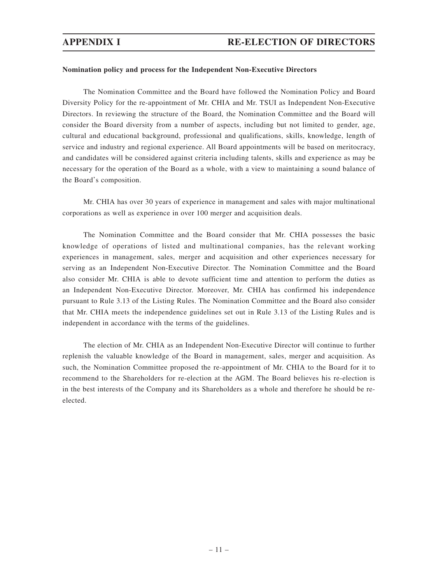### **Nomination policy and process for the Independent Non-Executive Directors**

The Nomination Committee and the Board have followed the Nomination Policy and Board Diversity Policy for the re-appointment of Mr. CHIA and Mr. TSUI as Independent Non-Executive Directors. In reviewing the structure of the Board, the Nomination Committee and the Board will consider the Board diversity from a number of aspects, including but not limited to gender, age, cultural and educational background, professional and qualifications, skills, knowledge, length of service and industry and regional experience. All Board appointments will be based on meritocracy, and candidates will be considered against criteria including talents, skills and experience as may be necessary for the operation of the Board as a whole, with a view to maintaining a sound balance of the Board's composition.

Mr. CHIA has over 30 years of experience in management and sales with major multinational corporations as well as experience in over 100 merger and acquisition deals.

The Nomination Committee and the Board consider that Mr. CHIA possesses the basic knowledge of operations of listed and multinational companies, has the relevant working experiences in management, sales, merger and acquisition and other experiences necessary for serving as an Independent Non-Executive Director. The Nomination Committee and the Board also consider Mr. CHIA is able to devote sufficient time and attention to perform the duties as an Independent Non-Executive Director. Moreover, Mr. CHIA has confirmed his independence pursuant to Rule 3.13 of the Listing Rules. The Nomination Committee and the Board also consider that Mr. CHIA meets the independence guidelines set out in Rule 3.13 of the Listing Rules and is independent in accordance with the terms of the guidelines.

The election of Mr. CHIA as an Independent Non-Executive Director will continue to further replenish the valuable knowledge of the Board in management, sales, merger and acquisition. As such, the Nomination Committee proposed the re-appointment of Mr. CHIA to the Board for it to recommend to the Shareholders for re-election at the AGM. The Board believes his re-election is in the best interests of the Company and its Shareholders as a whole and therefore he should be reelected.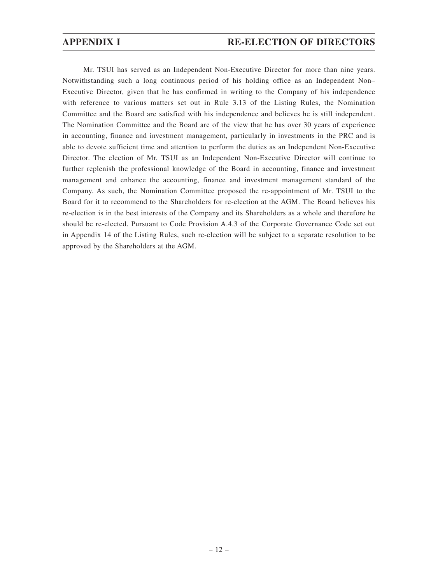Mr. TSUI has served as an Independent Non-Executive Director for more than nine years. Notwithstanding such a long continuous period of his holding office as an Independent Non– Executive Director, given that he has confirmed in writing to the Company of his independence with reference to various matters set out in Rule 3.13 of the Listing Rules, the Nomination Committee and the Board are satisfied with his independence and believes he is still independent. The Nomination Committee and the Board are of the view that he has over 30 years of experience in accounting, finance and investment management, particularly in investments in the PRC and is able to devote sufficient time and attention to perform the duties as an Independent Non-Executive Director. The election of Mr. TSUI as an Independent Non-Executive Director will continue to further replenish the professional knowledge of the Board in accounting, finance and investment management and enhance the accounting, finance and investment management standard of the Company. As such, the Nomination Committee proposed the re-appointment of Mr. TSUI to the Board for it to recommend to the Shareholders for re-election at the AGM. The Board believes his re-election is in the best interests of the Company and its Shareholders as a whole and therefore he should be re-elected. Pursuant to Code Provision A.4.3 of the Corporate Governance Code set out in Appendix 14 of the Listing Rules, such re-election will be subject to a separate resolution to be approved by the Shareholders at the AGM.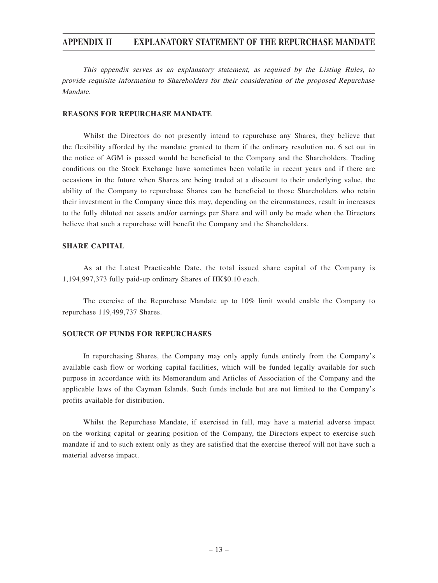This appendix serves as an explanatory statement, as required by the Listing Rules, to provide requisite information to Shareholders for their consideration of the proposed Repurchase Mandate.

### **REASONS FOR REPURCHASE MANDATE**

Whilst the Directors do not presently intend to repurchase any Shares, they believe that the flexibility afforded by the mandate granted to them if the ordinary resolution no. 6 set out in the notice of AGM is passed would be beneficial to the Company and the Shareholders. Trading conditions on the Stock Exchange have sometimes been volatile in recent years and if there are occasions in the future when Shares are being traded at a discount to their underlying value, the ability of the Company to repurchase Shares can be beneficial to those Shareholders who retain their investment in the Company since this may, depending on the circumstances, result in increases to the fully diluted net assets and/or earnings per Share and will only be made when the Directors believe that such a repurchase will benefit the Company and the Shareholders.

### **SHARE CAPITAL**

As at the Latest Practicable Date, the total issued share capital of the Company is 1,194,997,373 fully paid-up ordinary Shares of HK\$0.10 each.

The exercise of the Repurchase Mandate up to 10% limit would enable the Company to repurchase 119,499,737 Shares.

### **SOURCE OF FUNDS FOR REPURCHASES**

In repurchasing Shares, the Company may only apply funds entirely from the Company's available cash flow or working capital facilities, which will be funded legally available for such purpose in accordance with its Memorandum and Articles of Association of the Company and the applicable laws of the Cayman Islands. Such funds include but are not limited to the Company's profits available for distribution.

Whilst the Repurchase Mandate, if exercised in full, may have a material adverse impact on the working capital or gearing position of the Company, the Directors expect to exercise such mandate if and to such extent only as they are satisfied that the exercise thereof will not have such a material adverse impact.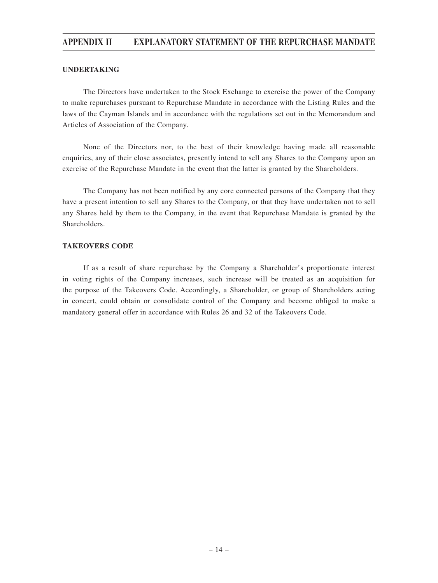### **UNDERTAKING**

The Directors have undertaken to the Stock Exchange to exercise the power of the Company to make repurchases pursuant to Repurchase Mandate in accordance with the Listing Rules and the laws of the Cayman Islands and in accordance with the regulations set out in the Memorandum and Articles of Association of the Company.

None of the Directors nor, to the best of their knowledge having made all reasonable enquiries, any of their close associates, presently intend to sell any Shares to the Company upon an exercise of the Repurchase Mandate in the event that the latter is granted by the Shareholders.

The Company has not been notified by any core connected persons of the Company that they have a present intention to sell any Shares to the Company, or that they have undertaken not to sell any Shares held by them to the Company, in the event that Repurchase Mandate is granted by the Shareholders.

### **TAKEOVERS CODE**

If as a result of share repurchase by the Company a Shareholder's proportionate interest in voting rights of the Company increases, such increase will be treated as an acquisition for the purpose of the Takeovers Code. Accordingly, a Shareholder, or group of Shareholders acting in concert, could obtain or consolidate control of the Company and become obliged to make a mandatory general offer in accordance with Rules 26 and 32 of the Takeovers Code.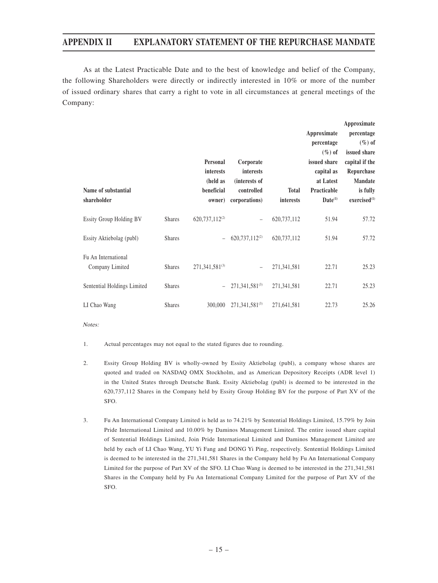As at the Latest Practicable Date and to the best of knowledge and belief of the Company, the following Shareholders were directly or indirectly interested in 10% or more of the number of issued ordinary shares that carry a right to vote in all circumstances at general meetings of the Company:

|                                |               |                            |                            |              |              | Approximate              |
|--------------------------------|---------------|----------------------------|----------------------------|--------------|--------------|--------------------------|
|                                |               |                            |                            |              | Approximate  | percentage               |
|                                |               |                            |                            |              | percentage   | $(\%)$ of                |
|                                |               |                            |                            |              | $(\%)$ of    | issued share             |
|                                |               | Personal                   | Corporate                  |              | issued share | capital if the           |
|                                |               | interests                  | <i>interests</i>           |              | capital as   | Repurchase               |
|                                |               | (held as                   | (interests of              |              | at Latest    | Mandate                  |
| Name of substantial            |               | beneficial                 | controlled                 | <b>Total</b> | Practicable  | is fully                 |
| shareholder                    |               | owner)                     | corporations)              | interests    | $Date^{(1)}$ | exercised <sup>(1)</sup> |
| <b>Essity Group Holding BV</b> | <b>Shares</b> | 620,737,112 <sup>(2)</sup> | $\qquad \qquad -$          | 620,737,112  | 51.94        | 57.72                    |
| Essity Aktiebolag (publ)       | <b>Shares</b> |                            | 620,737,112 <sup>(2)</sup> | 620,737,112  | 51.94        | 57.72                    |
| Fu An International            |               |                            |                            |              |              |                          |
| Company Limited                | <b>Shares</b> | 271,341,581(3)             |                            | 271,341,581  | 22.71        | 25.23                    |
| Sentential Holdings Limited    | <b>Shares</b> |                            | $271,341,581^{(3)}$        | 271,341,581  | 22.71        | 25.23                    |
| LI Chao Wang                   | <b>Shares</b> | 300,000                    | $271,341,581^{(3)}$        | 271,641,581  | 22.73        | 25.26                    |

Notes:

- 1. Actual percentages may not equal to the stated figures due to rounding.
- 2. Essity Group Holding BV is wholly-owned by Essity Aktiebolag (publ), a company whose shares are quoted and traded on NASDAQ OMX Stockholm, and as American Depository Receipts (ADR level 1) in the United States through Deutsche Bank. Essity Aktiebolag (publ) is deemed to be interested in the 620,737,112 Shares in the Company held by Essity Group Holding BV for the purpose of Part XV of the SFO.
- 3. Fu An International Company Limited is held as to 74.21% by Sentential Holdings Limited, 15.79% by Join Pride International Limited and 10.00% by Daminos Management Limited. The entire issued share capital of Sentential Holdings Limited, Join Pride International Limited and Daminos Management Limited are held by each of LI Chao Wang, YU Yi Fang and DONG Yi Ping, respectively. Sentential Holdings Limited is deemed to be interested in the 271,341,581 Shares in the Company held by Fu An International Company Limited for the purpose of Part XV of the SFO. LI Chao Wang is deemed to be interested in the 271,341,581 Shares in the Company held by Fu An International Company Limited for the purpose of Part XV of the SFO.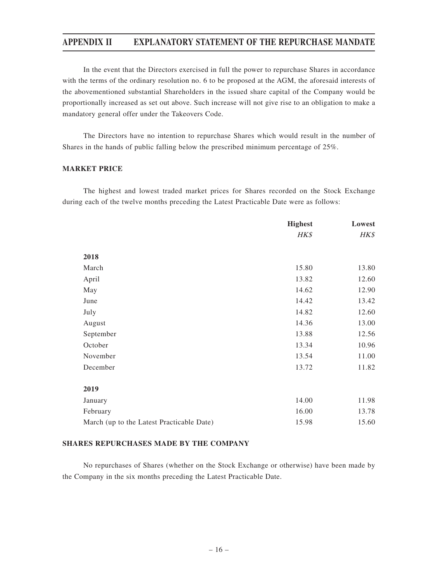In the event that the Directors exercised in full the power to repurchase Shares in accordance with the terms of the ordinary resolution no. 6 to be proposed at the AGM, the aforesaid interests of the abovementioned substantial Shareholders in the issued share capital of the Company would be proportionally increased as set out above. Such increase will not give rise to an obligation to make a mandatory general offer under the Takeovers Code.

The Directors have no intention to repurchase Shares which would result in the number of Shares in the hands of public falling below the prescribed minimum percentage of 25%.

### **MARKET PRICE**

The highest and lowest traded market prices for Shares recorded on the Stock Exchange during each of the twelve months preceding the Latest Practicable Date were as follows:

|                                           | <b>Highest</b> | Lowest |
|-------------------------------------------|----------------|--------|
|                                           | HK\$           | HK\$   |
| 2018                                      |                |        |
| March                                     | 15.80          | 13.80  |
| April                                     | 13.82          | 12.60  |
| May                                       | 14.62          | 12.90  |
| June                                      | 14.42          | 13.42  |
| July                                      | 14.82          | 12.60  |
| August                                    | 14.36          | 13.00  |
| September                                 | 13.88          | 12.56  |
| October                                   | 13.34          | 10.96  |
| November                                  | 13.54          | 11.00  |
| December                                  | 13.72          | 11.82  |
|                                           |                |        |
| 2019                                      |                |        |
| January                                   | 14.00          | 11.98  |
| February                                  | 16.00          | 13.78  |
| March (up to the Latest Practicable Date) | 15.98          | 15.60  |

### **SHARES REPURCHASES MADE BY THE COMPANY**

No repurchases of Shares (whether on the Stock Exchange or otherwise) have been made by the Company in the six months preceding the Latest Practicable Date.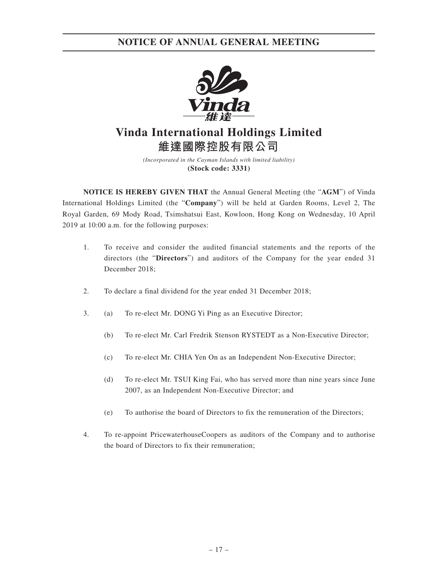

# **Vinda International Holdings Limited 維達國際控股有限公司**

*(Incorporated in the Cayman Islands with limited liability)* **(Stock code: 3331)**

**NOTICE IS HEREBY GIVEN THAT** the Annual General Meeting (the "**AGM**") of Vinda International Holdings Limited (the "**Company**") will be held at Garden Rooms, Level 2, The Royal Garden, 69 Mody Road, Tsimshatsui East, Kowloon, Hong Kong on Wednesday, 10 April 2019 at 10:00 a.m. for the following purposes:

- 1. To receive and consider the audited financial statements and the reports of the directors (the "**Directors**") and auditors of the Company for the year ended 31 December 2018;
- 2. To declare a final dividend for the year ended 31 December 2018;
- 3. (a) To re-elect Mr. DONG Yi Ping as an Executive Director;
	- (b) To re-elect Mr. Carl Fredrik Stenson RYSTEDT as a Non-Executive Director;
	- (c) To re-elect Mr. CHIA Yen On as an Independent Non-Executive Director;
	- (d) To re-elect Mr. TSUI King Fai, who has served more than nine years since June 2007, as an Independent Non-Executive Director; and
	- (e) To authorise the board of Directors to fix the remuneration of the Directors;
- 4. To re-appoint PricewaterhouseCoopers as auditors of the Company and to authorise the board of Directors to fix their remuneration;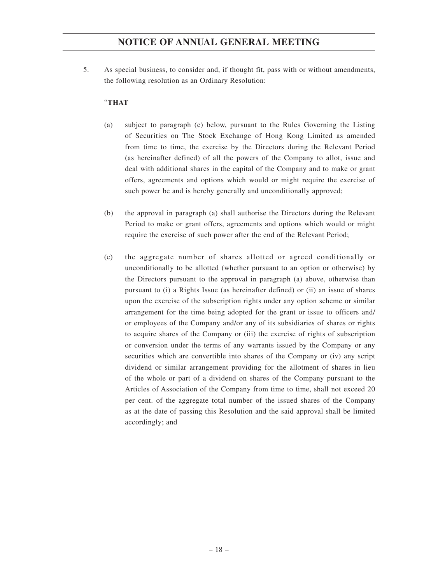5. As special business, to consider and, if thought fit, pass with or without amendments, the following resolution as an Ordinary Resolution:

### "**THAT**

- (a) subject to paragraph (c) below, pursuant to the Rules Governing the Listing of Securities on The Stock Exchange of Hong Kong Limited as amended from time to time, the exercise by the Directors during the Relevant Period (as hereinafter defined) of all the powers of the Company to allot, issue and deal with additional shares in the capital of the Company and to make or grant offers, agreements and options which would or might require the exercise of such power be and is hereby generally and unconditionally approved;
- (b) the approval in paragraph (a) shall authorise the Directors during the Relevant Period to make or grant offers, agreements and options which would or might require the exercise of such power after the end of the Relevant Period;
- (c) the aggregate number of shares allotted or agreed conditionally or unconditionally to be allotted (whether pursuant to an option or otherwise) by the Directors pursuant to the approval in paragraph (a) above, otherwise than pursuant to (i) a Rights Issue (as hereinafter defined) or (ii) an issue of shares upon the exercise of the subscription rights under any option scheme or similar arrangement for the time being adopted for the grant or issue to officers and/ or employees of the Company and/or any of its subsidiaries of shares or rights to acquire shares of the Company or (iii) the exercise of rights of subscription or conversion under the terms of any warrants issued by the Company or any securities which are convertible into shares of the Company or (iv) any script dividend or similar arrangement providing for the allotment of shares in lieu of the whole or part of a dividend on shares of the Company pursuant to the Articles of Association of the Company from time to time, shall not exceed 20 per cent. of the aggregate total number of the issued shares of the Company as at the date of passing this Resolution and the said approval shall be limited accordingly; and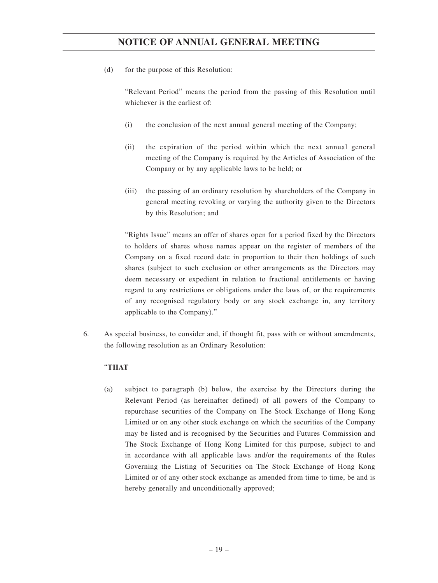(d) for the purpose of this Resolution:

"Relevant Period" means the period from the passing of this Resolution until whichever is the earliest of:

- (i) the conclusion of the next annual general meeting of the Company;
- (ii) the expiration of the period within which the next annual general meeting of the Company is required by the Articles of Association of the Company or by any applicable laws to be held; or
- (iii) the passing of an ordinary resolution by shareholders of the Company in general meeting revoking or varying the authority given to the Directors by this Resolution; and

"Rights Issue" means an offer of shares open for a period fixed by the Directors to holders of shares whose names appear on the register of members of the Company on a fixed record date in proportion to their then holdings of such shares (subject to such exclusion or other arrangements as the Directors may deem necessary or expedient in relation to fractional entitlements or having regard to any restrictions or obligations under the laws of, or the requirements of any recognised regulatory body or any stock exchange in, any territory applicable to the Company)."

6. As special business, to consider and, if thought fit, pass with or without amendments, the following resolution as an Ordinary Resolution:

### "**THAT**

(a) subject to paragraph (b) below, the exercise by the Directors during the Relevant Period (as hereinafter defined) of all powers of the Company to repurchase securities of the Company on The Stock Exchange of Hong Kong Limited or on any other stock exchange on which the securities of the Company may be listed and is recognised by the Securities and Futures Commission and The Stock Exchange of Hong Kong Limited for this purpose, subject to and in accordance with all applicable laws and/or the requirements of the Rules Governing the Listing of Securities on The Stock Exchange of Hong Kong Limited or of any other stock exchange as amended from time to time, be and is hereby generally and unconditionally approved;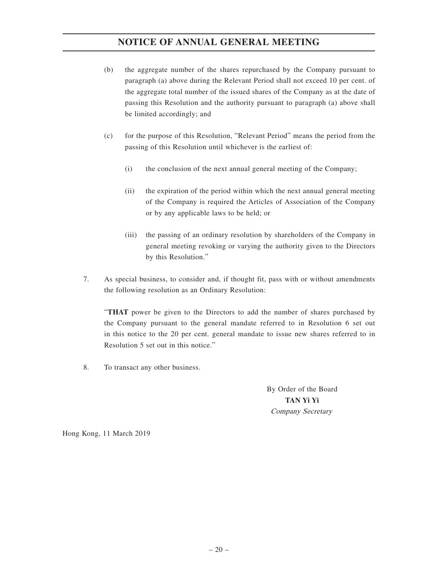- (b) the aggregate number of the shares repurchased by the Company pursuant to paragraph (a) above during the Relevant Period shall not exceed 10 per cent. of the aggregate total number of the issued shares of the Company as at the date of passing this Resolution and the authority pursuant to paragraph (a) above shall be limited accordingly; and
- (c) for the purpose of this Resolution, "Relevant Period" means the period from the passing of this Resolution until whichever is the earliest of:
	- (i) the conclusion of the next annual general meeting of the Company;
	- (ii) the expiration of the period within which the next annual general meeting of the Company is required the Articles of Association of the Company or by any applicable laws to be held; or
	- (iii) the passing of an ordinary resolution by shareholders of the Company in general meeting revoking or varying the authority given to the Directors by this Resolution."
- 7. As special business, to consider and, if thought fit, pass with or without amendments the following resolution as an Ordinary Resolution:

"**THAT** power be given to the Directors to add the number of shares purchased by the Company pursuant to the general mandate referred to in Resolution 6 set out in this notice to the 20 per cent. general mandate to issue new shares referred to in Resolution 5 set out in this notice."

8. To transact any other business.

By Order of the Board **TAN Yi Yi** Company Secretary

Hong Kong, 11 March 2019